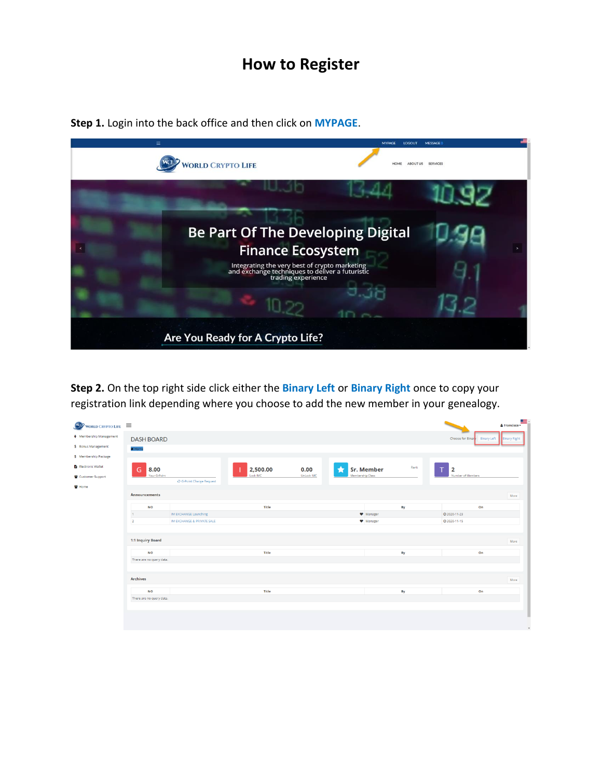## **How to Register**

**Step 1.** Login into the back office and then click on **MYPAGE**.



**Step 2.** On the top right side click either the **Binary Left** or **Binary Right** once to copy your registration link depending where you choose to add the new member in your genealogy.

| WORLD CRYPTO LIFE          |                          |                                       |          |                   |                   |      |                   | & Francisco-                              |
|----------------------------|--------------------------|---------------------------------------|----------|-------------------|-------------------|------|-------------------|-------------------------------------------|
| ♦ Membership Management    | <b>DASH BOARD</b>        |                                       |          |                   |                   |      | Choose for Binary | <b>Binary Left</b><br><b>Binary Right</b> |
| \$ Bonus Management        | * Home                   |                                       |          |                   |                   |      |                   |                                           |
| \$ Membership Package      |                          |                                       |          |                   |                   |      |                   |                                           |
| <b>B</b> Electronic Wallet | 8.00<br>G                |                                       | 2,500.00 | 0.00              | <b>Sr. Member</b> | Rank | $\overline{2}$    |                                           |
| Customer Support           | Your G-Point             | C <sup>h</sup> G-Point Charge Request | Lock IMC | <b>UnLock IMC</b> | Membership Class  |      | Number of Members |                                           |
| Home                       |                          |                                       |          |                   |                   |      |                   |                                           |
|                            | <b>Announcements</b>     |                                       |          |                   |                   |      |                   | More                                      |
|                            | <b>NO</b>                |                                       | Title    |                   |                   | By   | On                |                                           |
|                            | $\mathbf{t}$ .           | IM EXCHANGE Launching                 |          |                   | Manager           |      | O 2020-11-23      |                                           |
|                            | $\overline{2}$           | IM EXCHANGE & PRIVATE SALE            |          |                   | Manager           |      |                   |                                           |
|                            | 1:1 Inquiry Board        |                                       |          |                   |                   |      |                   | More                                      |
|                            | <b>NO</b>                |                                       | Title    |                   |                   | By   | On                |                                           |
|                            | There are no query data. |                                       |          |                   |                   |      |                   |                                           |
|                            |                          |                                       |          |                   |                   |      |                   |                                           |
|                            | <b>Archives</b>          |                                       |          |                   |                   |      |                   | More                                      |
|                            | <b>NO</b>                |                                       | Title    |                   |                   | By   | On                |                                           |
|                            | There are no query data. |                                       |          |                   |                   |      |                   |                                           |
|                            |                          |                                       |          |                   |                   |      |                   |                                           |
|                            |                          |                                       |          |                   |                   |      |                   |                                           |
|                            |                          |                                       |          |                   |                   |      |                   |                                           |
|                            |                          |                                       |          |                   |                   |      |                   | $\;$                                      |
|                            |                          |                                       |          |                   |                   |      |                   |                                           |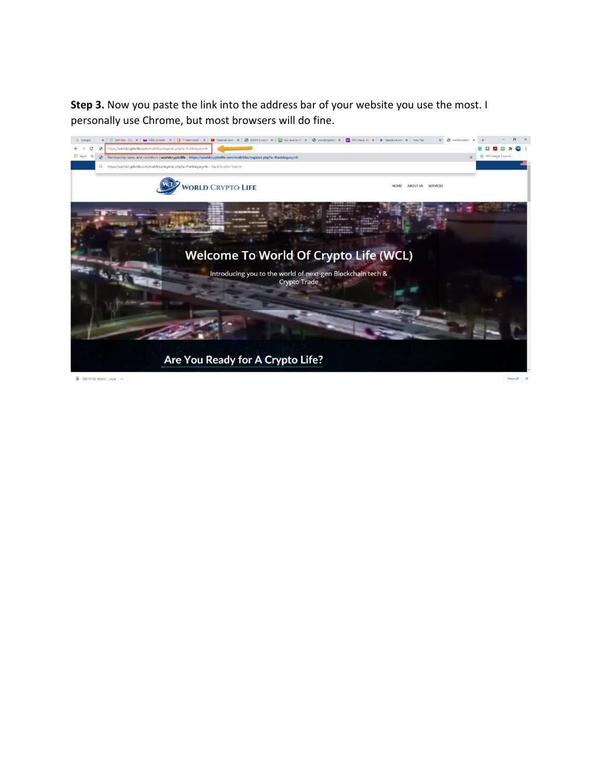**Step 3.** Now you paste the link into the address bar of your website you use the most. I personally use Chrome, but most browsers will do fine.

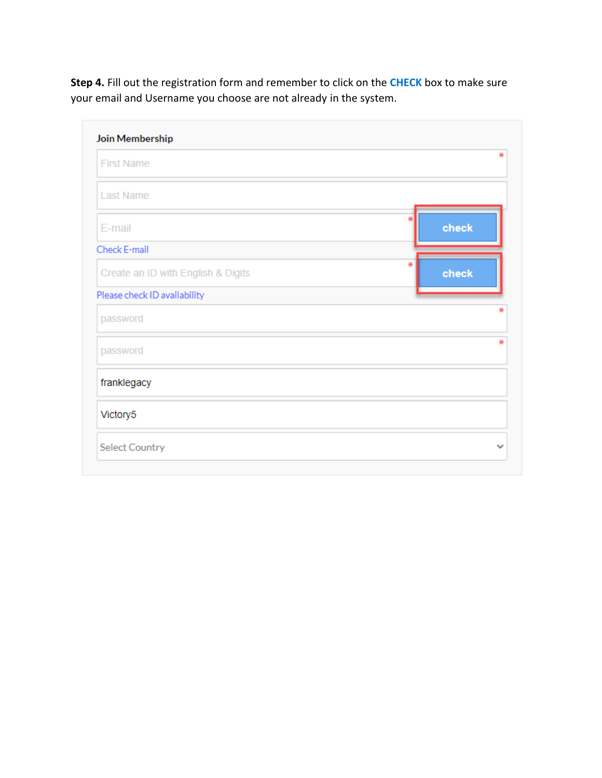**Step 4.** Fill out the registration form and remember to click on the **CHECK** box to make sure your email and Username you choose are not already in the system.

| Join Membership                    |            |
|------------------------------------|------------|
| <b>First Name</b>                  | ₩          |
| <b>Last Name</b>                   |            |
| E-mail                             | check      |
| Check E-mail                       |            |
| Create an ID with English & Digits | ₩<br>check |
| Please check ID availability       |            |
| password                           |            |
| password                           | ₩          |
| franklegacy                        |            |
| Victory5                           |            |
| <b>Select Country</b>              |            |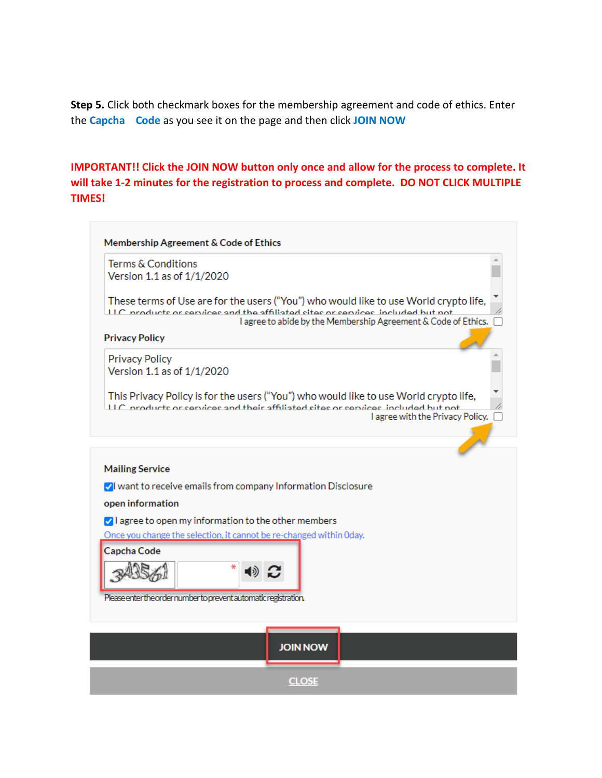**Step 5.** Click both checkmark boxes for the membership agreement and code of ethics. Enter the **Capcha Code** as you see it on the page and then click **JOIN NOW**

## **IMPORTANT!! Click the JOIN NOW button only once and allow for the process to complete. It will take 1-2 minutes for the registration to process and complete. DO NOT CLICK MULTIPLE TIMES!**

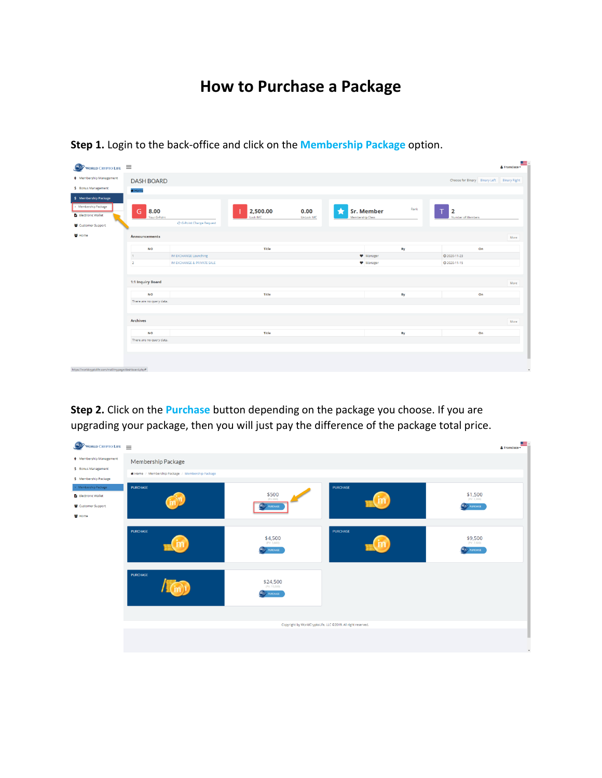## **How to Purchase a Package**

| WORLD CRYPTO LIFE $\equiv$<br>$\bullet$                       |                           |                                       |                      |                           |                  |                           |                |                                            | & Francisco - |
|---------------------------------------------------------------|---------------------------|---------------------------------------|----------------------|---------------------------|------------------|---------------------------|----------------|--------------------------------------------|---------------|
| ♦ Membership Management                                       | <b>DASH BOARD</b>         |                                       |                      |                           |                  |                           |                | Choose for Binary Binary Left Binary Right |               |
| \$ Bonus Management                                           | * Home                    |                                       |                      |                           |                  |                           |                |                                            |               |
| \$ Membership Package                                         |                           |                                       |                      |                           |                  |                           |                |                                            |               |
| > Membership Package<br>Electronic Wallet<br>Customer Support | G<br>8.00<br>Your G-Point | C <sup>+</sup> G-Point Charge Request | 2,500.00<br>Lock IMC | 0.00<br><b>UnLock IMC</b> | Membership Class | Rank<br><b>Sr. Member</b> | $\overline{2}$ | Number of Members                          |               |
| Home                                                          | Announcements             |                                       |                      |                           |                  |                           |                |                                            | More          |
|                                                               | <b>NO</b>                 |                                       | Title                |                           |                  | By                        |                | On                                         |               |
|                                                               | $\mathbf{1}$              | IM EXCHANGE Launching                 |                      |                           |                  | <b>W</b> Manager          | ◎ 2020-11-23   |                                            |               |
|                                                               | $\overline{2}$            | IM EXCHANGE & PRIVATE SALE            |                      |                           |                  | Manager                   | O 2020-11-15   |                                            |               |
|                                                               |                           |                                       |                      |                           |                  |                           |                |                                            |               |
|                                                               | 1:1 Inquiry Board         |                                       |                      |                           |                  |                           |                |                                            | More          |
|                                                               | <b>NO</b>                 |                                       | Title                |                           |                  | By                        |                | On                                         |               |
|                                                               | There are no query data.  |                                       |                      |                           |                  |                           |                |                                            |               |
|                                                               |                           |                                       |                      |                           |                  |                           |                |                                            |               |
|                                                               | <b>Archives</b>           |                                       |                      |                           |                  |                           |                |                                            | More          |
|                                                               | <b>NO</b>                 |                                       | Title                |                           |                  | By                        |                | On                                         |               |
|                                                               | There are no query data.  |                                       |                      |                           |                  |                           |                |                                            |               |
|                                                               |                           |                                       |                      |                           |                  |                           |                |                                            |               |
|                                                               |                           |                                       |                      |                           |                  |                           |                |                                            |               |
|                                                               |                           |                                       |                      |                           |                  |                           |                |                                            |               |
| https://worldcryptolife.com/mall/mypage/dashboard.php#        |                           |                                       |                      |                           |                  |                           |                |                                            | $\check{}$    |

**Step 1.** Login to the back-office and click on the **Membership Package** option.

**Step 2.** Click on the **Purchase** button depending on the package you choose. If you are upgrading your package, then you will just pay the difference of the package total price.

| <b>WORLD CRYPTO LIFE</b>                       |                                                                      |                                  |                                                              | & Francisco -                   |  |  |  |  |
|------------------------------------------------|----------------------------------------------------------------------|----------------------------------|--------------------------------------------------------------|---------------------------------|--|--|--|--|
| ♦ Membership Management<br>\$ Bonus Management | Membership Package<br>Home / Membership Package / Membership Package |                                  |                                                              |                                 |  |  |  |  |
| \$ Membership Package                          |                                                                      |                                  |                                                              |                                 |  |  |  |  |
| > Membership Package<br>Electronic Wallet      | <b>PURCHASE</b>                                                      | \$500<br>(PV:400)                | <b>PURCHASE</b>                                              | \$1,500<br>(PV: 1, 200)         |  |  |  |  |
| Customer Support<br>발 Home                     |                                                                      | <b>W.L.</b> PURCHASE             |                                                              | <b>W.L.</b> PURCHASE            |  |  |  |  |
|                                                | <b>PURCHASE</b>                                                      | \$4,500<br><b>W.1</b> PUROIASE   | <b>PURCHASE</b>                                              | \$9,500<br><b>K.L.</b> PURCHASE |  |  |  |  |
|                                                | <b>PURCHASE</b>                                                      | \$24,500<br><b>W.L.</b> PUROIASE |                                                              |                                 |  |  |  |  |
|                                                |                                                                      |                                  |                                                              |                                 |  |  |  |  |
|                                                |                                                                      |                                  | Copyright by WorldCryptoLife, LLC @2019, All right reserved. |                                 |  |  |  |  |
|                                                |                                                                      |                                  |                                                              | $\;$                            |  |  |  |  |